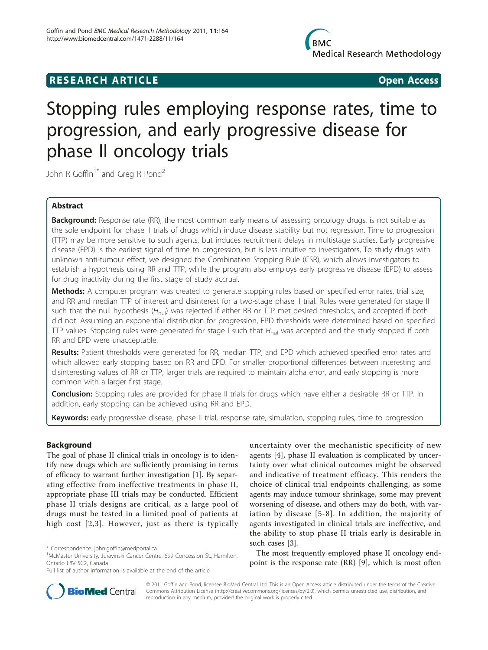## **RESEARCH ARTICLE Example 2018 CONSIDERING ACCESS**

# Stopping rules employing response rates, time to progression, and early progressive disease for phase II oncology trials

John R Goffin<sup>1\*</sup> and Greg R Pond<sup>2</sup>

## Abstract

Background: Response rate (RR), the most common early means of assessing oncology drugs, is not suitable as the sole endpoint for phase II trials of drugs which induce disease stability but not regression. Time to progression (TTP) may be more sensitive to such agents, but induces recruitment delays in multistage studies. Early progressive disease (EPD) is the earliest signal of time to progression, but is less intuitive to investigators, To study drugs with unknown anti-tumour effect, we designed the Combination Stopping Rule (CSR), which allows investigators to establish a hypothesis using RR and TTP, while the program also employs early progressive disease (EPD) to assess for drug inactivity during the first stage of study accrual.

Methods: A computer program was created to generate stopping rules based on specified error rates, trial size, and RR and median TTP of interest and disinterest for a two-stage phase II trial. Rules were generated for stage II such that the null hypothesis ( $H_{\text{null}}$ ) was rejected if either RR or TTP met desired thresholds, and accepted if both did not. Assuming an exponential distribution for progression, EPD thresholds were determined based on specified TTP values. Stopping rules were generated for stage I such that  $H<sub>null</sub>$  was accepted and the study stopped if both RR and EPD were unacceptable.

Results: Patient thresholds were generated for RR, median TTP, and EPD which achieved specified error rates and which allowed early stopping based on RR and EPD. For smaller proportional differences between interesting and disinteresting values of RR or TTP, larger trials are required to maintain alpha error, and early stopping is more common with a larger first stage.

**Conclusion:** Stopping rules are provided for phase II trials for drugs which have either a desirable RR or TTP. In addition, early stopping can be achieved using RR and EPD.

Keywords: early progressive disease, phase II trial, response rate, simulation, stopping rules, time to progression

## Background

The goal of phase II clinical trials in oncology is to identify new drugs which are sufficiently promising in terms of efficacy to warrant further investigation [\[1](#page-5-0)]. By separating effective from ineffective treatments in phase II, appropriate phase III trials may be conducted. Efficient phase II trials designs are critical, as a large pool of drugs must be tested in a limited pool of patients at high cost [[2,3\]](#page-5-0). However, just as there is typically uncertainty over the mechanistic specificity of new agents [[4\]](#page-5-0), phase II evaluation is complicated by uncertainty over what clinical outcomes might be observed and indicative of treatment efficacy. This renders the choice of clinical trial endpoints challenging, as some agents may induce tumour shrinkage, some may prevent worsening of disease, and others may do both, with variation by disease [[5-8\]](#page-5-0). In addition, the majority of agents investigated in clinical trials are ineffective, and the ability to stop phase II trials early is desirable in such cases [[3\]](#page-5-0).

The most frequently employed phase II oncology endpoint is the response rate (RR) [\[9](#page-5-0)], which is most often



© 2011 Goffin and Pond; licensee BioMed Central Ltd. This is an Open Access article distributed under the terms of the Creative Commons Attribution License [\(http://creativecommons.org/licenses/by/2.0](http://creativecommons.org/licenses/by/2.0)), which permits unrestricted use, distribution, and reproduction in any medium, provided the original work is properly cited.

<sup>\*</sup> Correspondence: [john.goffin@medportal.ca](mailto:john.goffin@medportal.ca)

<sup>&</sup>lt;sup>1</sup>McMaster University, Juravinski Cancer Centre, 699 Concession St., Hamilton, Ontario L8V 5C2, Canada

Full list of author information is available at the end of the article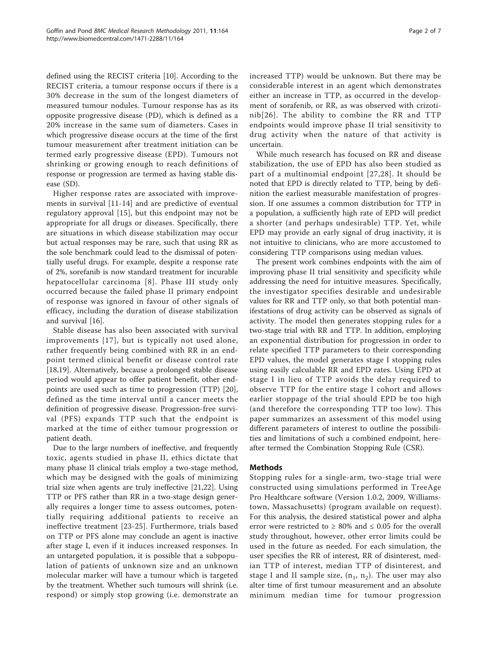defined using the RECIST criteria [\[10](#page-5-0)]. According to the RECIST criteria, a tumour response occurs if there is a 30% decrease in the sum of the longest diameters of measured tumour nodules. Tumour response has as its opposite progressive disease (PD), which is defined as a 20% increase in the same sum of diameters. Cases in which progressive disease occurs at the time of the first tumour measurement after treatment initiation can be termed early progressive disease (EPD). Tumours not shrinking or growing enough to reach definitions of response or progression are termed as having stable disease (SD).

Higher response rates are associated with improvements in survival [\[11](#page-6-0)-[14\]](#page-6-0) and are predictive of eventual regulatory approval [[15](#page-6-0)], but this endpoint may not be appropriate for all drugs or diseases. Specifically, there are situations in which disease stabilization may occur but actual responses may be rare, such that using RR as the sole benchmark could lead to the dismissal of potentially useful drugs. For example, despite a response rate of 2%, sorefanib is now standard treatment for incurable hepatocellular carcinoma [[8\]](#page-5-0). Phase III study only occurred because the failed phase II primary endpoint of response was ignored in favour of other signals of efficacy, including the duration of disease stabilization and survival [\[16](#page-6-0)].

Stable disease has also been associated with survival improvements [[17](#page-6-0)], but is typically not used alone, rather frequently being combined with RR in an endpoint termed clinical benefit or disease control rate [[18,19\]](#page-6-0). Alternatively, because a prolonged stable disease period would appear to offer patient benefit, other endpoints are used such as time to progression (TTP) [\[20](#page-6-0)], defined as the time interval until a cancer meets the definition of progressive disease. Progression-free survival (PFS) expands TTP such that the endpoint is marked at the time of either tumour progression or patient death.

Due to the large numbers of ineffective, and frequently toxic, agents studied in phase II, ethics dictate that many phase II clinical trials employ a two-stage method, which may be designed with the goals of minimizing trial size when agents are truly ineffective [\[21,22](#page-6-0)]. Using TTP or PFS rather than RR in a two-stage design generally requires a longer time to assess outcomes, potentially requiring additional patients to receive an ineffective treatment [[23-25\]](#page-6-0). Furthermore, trials based on TTP or PFS alone may conclude an agent is inactive after stage I, even if it induces increased responses. In an untargeted population, it is possible that a subpopulation of patients of unknown size and an unknown molecular marker will have a tumour which is targeted by the treatment. Whether such tumours will shrink (i.e. respond) or simply stop growing (i.e. demonstrate an increased TTP) would be unknown. But there may be considerable interest in an agent which demonstrates either an increase in TTP, as occurred in the development of sorafenib, or RR, as was observed with crizotinib[[26\]](#page-6-0). The ability to combine the RR and TTP endpoints would improve phase II trial sensitivity to drug activity when the nature of that activity is uncertain.

While much research has focused on RR and disease stabilization, the use of EPD has also been studied as part of a multinomial endpoint [[27,28\]](#page-6-0). It should be noted that EPD is directly related to TTP, being by definition the earliest measurable manifestation of progression. If one assumes a common distribution for TTP in a population, a sufficiently high rate of EPD will predict a shorter (and perhaps undesirable) TTP. Yet, while EPD may provide an early signal of drug inactivity, it is not intuitive to clinicians, who are more accustomed to considering TTP comparisons using median values.

The present work combines endpoints with the aim of improving phase II trial sensitivity and specificity while addressing the need for intuitive measures. Specifically, the investigator specifies desirable and undesirable values for RR and TTP only, so that both potential manifestations of drug activity can be observed as signals of activity. The model then generates stopping rules for a two-stage trial with RR and TTP. In addition, employing an exponential distribution for progression in order to relate specified TTP parameters to their corresponding EPD values, the model generates stage I stopping rules using easily calculable RR and EPD rates. Using EPD at stage I in lieu of TTP avoids the delay required to observe TTP for the entire stage I cohort and allows earlier stoppage of the trial should EPD be too high (and therefore the corresponding TTP too low). This paper summarizes an assessment of this model using different parameters of interest to outline the possibilities and limitations of such a combined endpoint, hereafter termed the Combination Stopping Rule (CSR).

## Methods

Stopping rules for a single-arm, two-stage trial were constructed using simulations performed in TreeAge Pro Healthcare software (Version 1.0.2, 2009, Williamstown, Massachusetts) (program available on request). For this analysis, the desired statistical power and alpha error were restricted to  $\geq 80\%$  and  $\leq 0.05$  for the overall study throughout, however, other error limits could be used in the future as needed. For each simulation, the user specifies the RR of interest, RR of disinterest, median TTP of interest, median TTP of disinterest, and stage I and II sample size,  $(n_1, n_2)$ . The user may also alter time of first tumour measurement and an absolute minimum median time for tumour progression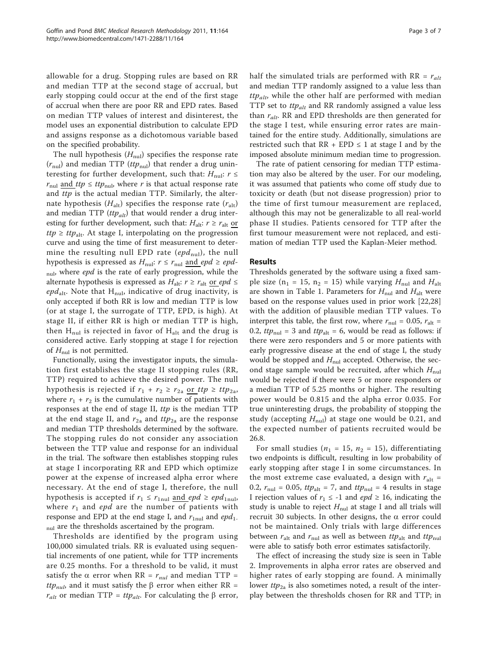allowable for a drug. Stopping rules are based on RR and median TTP at the second stage of accrual, but early stopping could occur at the end of the first stage of accrual when there are poor RR and EPD rates. Based on median TTP values of interest and disinterest, the model uses an exponential distribution to calculate EPD and assigns response as a dichotomous variable based on the specified probability.

The null hypothesis  $(H_{\text{null}})$  specifies the response rate  $(r<sub>null</sub>)$  and median TTP (*ttp*<sub>nul</sub>) that render a drug uninteresting for further development, such that:  $H_{\text{null}}$ :  $r \leq$  $r_{\text{null}}$  and  $ttp \leq ttp_{\text{null}}$ , where r is that actual response rate and *ttp* is the actual median TTP. Similarly, the alternate hypothesis  $(H_{\text{alt}})$  specifies the response rate  $(r_{\text{alt}})$ and median TTP ( $ttp_{alt}$ ) that would render a drug interesting for further development, such that:  $H_{\text{alt}}$ :  $r \ge r_{\text{alt}}$  or  $ttp \geq ttp_{\text{alt}}$ . At stage I, interpolating on the progression curve and using the time of first measurement to determine the resulting null EPD rate ( $epd<sub>null</sub>$ ), the null hypothesis is expressed as  $H_{\text{null}}$ :  $r \le r_{\text{null}}$  and  $epd \ge epd$ nul, where epd is the rate of early progression, while the alternate hypothesis is expressed as  $H_{\text{alt}}$ :  $r \ge r_{\text{alt}}$  or  $epd \le$  $e p d_{\text{alt}}$ . Note that  $H_{\text{null}}$ , indicative of drug inactivity, is only accepted if both RR is low and median TTP is low (or at stage I, the surrogate of TTP, EPD, is high). At stage II, if either RR is high or median TTP is high, then  $H_{\text{null}}$  is rejected in favor of  $H_{\text{alt}}$  and the drug is considered active. Early stopping at stage I for rejection of  $H_{\text{null}}$  is not permitted.

Functionally, using the investigator inputs, the simulation first establishes the stage II stopping rules (RR, TTP) required to achieve the desired power. The null hypothesis is rejected if  $r_1 + r_2 \ge r_{2a}$  or  $ttp \ge trp_{2a}$ , where  $r_1 + r_2$  is the cumulative number of patients with responses at the end of stage II, ttp is the median TTP at the end stage II, and  $r_{2a}$  and  $ttp_{2a}$  are the response and median TTP thresholds determined by the software. The stopping rules do not consider any association between the TTP value and response for an individual in the trial. The software then establishes stopping rules at stage I incorporating RR and EPD which optimize power at the expense of increased alpha error where necessary. At the end of stage I, therefore, the null hypothesis is accepted if  $r_1 \le r_{1 \text{null}}$  and  $e p d \ge e p d_{1 \text{null}}$ , where  $r_1$  and epd are the number of patients with response and EPD at the end stage I, and  $r_{1\text{null}}$  and  $epd_{1}$ . nul are the thresholds ascertained by the program.

Thresholds are identified by the program using 100,000 simulated trials. RR is evaluated using sequential increments of one patient, while for TTP increments are 0.25 months. For a threshold to be valid, it must satisfy the  $\alpha$  error when RR =  $r_{nul}$  and median TTP =  $ttp_{nub}$  and it must satisfy the  $\beta$  error when either RR =  $r_{alt}$  or median TTP =  $ttp_{alt}$ . For calculating the  $\beta$  error,

half the simulated trials are performed with  $RR = r_{alt}$ and median TTP randomly assigned to a value less than  $ttp_{alt}$ , while the other half are performed with median TTP set to  $ttp_{alt}$  and RR randomly assigned a value less than  $r_{alt}$ . RR and EPD thresholds are then generated for the stage I test, while ensuring error rates are maintained for the entire study. Additionally, simulations are restricted such that  $RR + EPD \leq 1$  at stage I and by the imposed absolute minimum median time to progression.

The rate of patient censoring for median TTP estimation may also be altered by the user. For our modeling, it was assumed that patients who come off study due to toxicity or death (but not disease progression) prior to the time of first tumour measurement are replaced, although this may not be generalizable to all real-world phase II studies. Patients censored for TTP after the first tumour measurement were not replaced, and estimation of median TTP used the Kaplan-Meier method.

## Results

Thresholds generated by the software using a fixed sample size ( $n_1$  = 15,  $n_2$  = 15) while varying  $H_{\text{null}}$  and  $H_{\text{alt}}$ are shown in Table [1.](#page-3-0) Parameters for  $H_{\text{null}}$  and  $H_{\text{alt}}$  were based on the response values used in prior work [[22](#page-6-0),[28](#page-6-0)] with the addition of plausible median TTP values. To interpret this table, the first row, where  $r_{\text{null}} = 0.05$ ,  $r_{\text{alt}} =$ 0.2,  $ttp_{\text{null}} = 3$  and  $ttp_{\text{alt}} = 6$ , would be read as follows: if there were zero responders and 5 or more patients with early progressive disease at the end of stage I, the study would be stopped and  $H_{\text{null}}$  accepted. Otherwise, the second stage sample would be recruited, after which  $H_{\text{null}}$ would be rejected if there were 5 or more responders or a median TTP of 5.25 months or higher. The resulting power would be 0.815 and the alpha error 0.035. For true uninteresting drugs, the probability of stopping the study (accepting  $H_{\text{null}}$ ) at stage one would be 0.21, and the expected number of patients recruited would be 26.8.

For small studies ( $n_1 = 15$ ,  $n_2 = 15$ ), differentiating two endpoints is difficult, resulting in low probability of early stopping after stage I in some circumstances. In the most extreme case evaluated, a design with  $r_{\text{alt}} =$ 0.2,  $r_{\text{null}} = 0.05$ ,  $ttp_{\text{alt}} = 7$ , and  $ttp_{\text{null}} = 4$  results in stage I rejection values of  $r_1 \le -1$  and  $e p d \ge 16$ , indicating the study is unable to reject  $H_{\text{null}}$  at stage I and all trials will recruit 30 subjects. In other designs, the  $\alpha$  error could not be maintained. Only trials with large differences between  $r_{\text{alt}}$  and  $r_{\text{null}}$  as well as between  $ttp_{\text{alt}}$  and  $ttp_{\text{null}}$ were able to satisfy both error estimates satisfactorily.

The effect of increasing the study size is seen in Table [2.](#page-3-0) Improvements in alpha error rates are observed and higher rates of early stopping are found. A minimally lower  $ttp_{2a}$  is also sometimes noted, a result of the interplay between the thresholds chosen for RR and TTP; in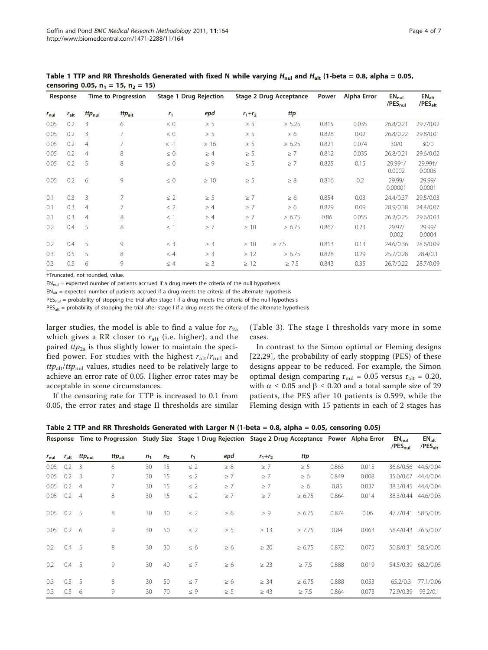<span id="page-3-0"></span>Table 1 TTP and RR Thresholds Generated with fixed N while varying  $H_{\text{null}}$  and  $H_{\text{alt}}$  (1-beta = 0.8, alpha = 0.05, censoring 0.05,  $n_1 = 15$ ,  $n_2 = 15$ )

| Response        |               | <b>Time to Progression</b> |                    | Stage 1 Drug Rejection |           |             | Stage 2 Drug Acceptance | Power | Alpha Error | EN <sub>nu1</sub><br>/PES <sub>nul</sub> | $EN_{alt}$<br>/ $PES_{alt}$ |
|-----------------|---------------|----------------------------|--------------------|------------------------|-----------|-------------|-------------------------|-------|-------------|------------------------------------------|-----------------------------|
| $r_{\rm{null}}$ | $r_{\rm alt}$ | ttp <sub>nul</sub>         | ttp <sub>alt</sub> | r <sub>1</sub>         | epd       | $r_1 + r_2$ | ttp                     |       |             |                                          |                             |
| 0.05            | 0.2           | 3                          | 6                  | $\leq 0$               | $\geq 5$  | $\geq 5$    | $\geq 5.25$             | 0.815 | 0.035       | 26.8/0.21                                | 29.7/0.02                   |
| 0.05            | 0.2           | 3                          | 7                  | $\leq 0$               | $\geq 5$  | $\geq 5$    | $\geq 6$                | 0.828 | 0.02        | 26.8/0.22                                | 29.8/0.01                   |
| 0.05            | 0.2           | $\overline{4}$             | 7                  | $\leq -1$              | $\geq 16$ | $\geq 5$    | $\ge 6.25$              | 0.821 | 0.074       | 30/0                                     | 30/0                        |
| 0.05            | 0.2           | $\overline{4}$             | 8                  | $\leq 0$               | $\geq 4$  | $\geq 5$    | $\geq 7$                | 0.812 | 0.035       | 26.8/0.21                                | 29.6/0.02                   |
| 0.05            | 0.2           | 5                          | 8                  | $\leq 0$               | $\geq 9$  | $\geq 5$    | $\geq 7$                | 0.825 | 0.15        | 29.99+/<br>0.0002                        | 29.99+/<br>0.0005           |
| 0.05            | 0.2           | 6                          | 9                  | $\leq 0$               | $\geq 10$ | $\geq 5$    | $\geq 8$                | 0.816 | 0.2         | 29.99/<br>0.00001                        | 29.99/<br>0.0001            |
| 0.1             | 0.3           | 3                          | 7                  | $\leq$ 2               | $\geq 5$  | $\geq$ 7    | $\geq 6$                | 0.854 | 0.03        | 24.4/0.37                                | 29.5/0.03                   |
| 0.1             | 0.3           | $\overline{4}$             |                    | $\leq$ 2               | $\geq 4$  | $\geq$ 7    | $\geq 6$                | 0.829 | 0.09        | 28.9/0.38                                | 24.4/0.07                   |
| 0.1             | 0.3           | 4                          | 8                  | $\leq$ 1               | $\geq 4$  | $\geq$ 7    | $\ge 6.75$              | 0.86  | 0.055       | 26.2/0.25                                | 29.6/0.03                   |
| 0.2             | 0.4           | 5                          | 8                  | $\leq$ 1               | $\geq$ 7  | $\geq 10$   | $\ge 6.75$              | 0.867 | 0.23        | 29.97/<br>0.002                          | 29.99/<br>0.0004            |
| 0.2             | 0.4           | 5                          | 9                  | $\leq$ 3               | $\geq 3$  | $\geq 10$   | $\geq 7.5$              | 0.813 | 0.13        | 24.6/0.36                                | 28.6/0.09                   |
| 0.3             | 0.5           | 5                          | 8                  | $\leq 4$               | $\geq 3$  | $\geq 12$   | $\ge 6.75$              | 0.828 | 0.29        | 25.7/0.28                                | 28.4/0.1                    |
| 0.3             | 0.5           | 6                          | 9                  | $\leq 4$               | $\geq$ 3  | $\geq 12$   | $\geq 7.5$              | 0.843 | 0.35        | 26.7/0.22                                | 28.7/0.09                   |

†Truncated, not rounded, value.

 $EN<sub>null</sub>$  = expected number of patients accrued if a drug meets the criteria of the null hypothesis

 $EN<sub>alt</sub>$  = expected number of patients accrued if a drug meets the criteria of the alternate hypothesis

 $PES_{null}$  = probability of stopping the trial after stage I if a drug meets the criteria of the null hypothesis

 $PES_{alt}$  = probability of stopping the trial after stage I if a drug meets the criteria of the alternate hypothesis

larger studies, the model is able to find a value for  $r_{2a}$ which gives a RR closer to  $r_{\text{alt}}$  (i.e. higher), and the paired  $ttp_{2a}$  is thus slightly lower to maintain the specified power. For studies with the highest  $r_{\text{alt}}/r_{\text{null}}$  and  $ttp_{\text{alt}}/ttp_{\text{null}}$  values, studies need to be relatively large to achieve an error rate of 0.05. Higher error rates may be acceptable in some circumstances.

If the censoring rate for TTP is increased to 0.1 from 0.05, the error rates and stage II thresholds are similar (Table [3](#page-4-0)). The stage I thresholds vary more in some cases.

In contrast to the Simon optimal or Fleming designs [[22,29](#page-6-0)], the probability of early stopping (PES) of these designs appear to be reduced. For example, the Simon optimal design comparing  $r_{\text{null}} = 0.05$  versus  $r_{\text{alt}} = 0.20$ , with  $\alpha \le 0.05$  and  $\beta \le 0.20$  and a total sample size of 29 patients, the PES after 10 patients is 0.599, while the Fleming design with 15 patients in each of 2 stages has

Table 2 TTP and RR Thresholds Generated with Larger N (1-beta = 0.8, alpha = 0.05, censoring 0.05)

|                |                  |                    |                    |                |                |                |          |             | Response Time to Progression Study Size Stage 1 Drug Rejection Stage 2 Drug Acceptance Power Alpha Error |       |       | $EN_{\mathsf{null}}$<br>/ $PES_{\text{null}}$ | $EN_{alt}$<br>$/PES_{alt}$ |
|----------------|------------------|--------------------|--------------------|----------------|----------------|----------------|----------|-------------|----------------------------------------------------------------------------------------------------------|-------|-------|-----------------------------------------------|----------------------------|
| $r_{\rm null}$ | $r_{\text{alt}}$ | ttp <sub>nul</sub> | ttp <sub>alt</sub> | n <sub>1</sub> | n <sub>2</sub> | r <sub>1</sub> | epd      | $r_1 + r_2$ | ttp                                                                                                      |       |       |                                               |                            |
| 0.05           | 0.2              | - 3                | 6                  | 30             | 15             | $\leq$ 2       | $\geq 8$ | $\geq 7$    | $\geq 5$                                                                                                 | 0.863 | 0.015 | 36.6/0.56 44.5/0.04                           |                            |
| 0.05           | 0.2              | - 3                |                    | 30             | 15             | $\leq$ 2       | $\geq 7$ | $\geq 7$    | $\geq 6$                                                                                                 | 0.849 | 0.008 | 35.0/0.67 44.4/0.04                           |                            |
| 0.05           | 0.2              | $\overline{4}$     |                    | 30             | 15             | $\leq$ 2       | $\geq 7$ | $\geq$ 7    | $\geq 6$                                                                                                 | 0.85  | 0.037 | 38.3/0.45 44.4/0.04                           |                            |
| 0.05           | $0.2 \quad 4$    |                    | 8                  | 30             | 15             | $\leq$ 2       | $\geq 7$ | $\geq 7$    | $\ge 6.75$                                                                                               | 0.864 | 0.014 | 38.3/0.44 44.6/0.03                           |                            |
| 0.05           | $0.2 \quad 5$    |                    | 8                  | 30             | 30             | $\leq$ 2       | $\geq 6$ | $\geq 9$    | $\geq 6.75$                                                                                              | 0.874 | 0.06  | 47.7/0.41 58.5/0.05                           |                            |
| 0.05           | $0.2\quad 6$     |                    | 9                  | 30             | 50             | $\leq$ 2       | $\geq 5$ | $\geq$ 13   | $\geq 7.75$                                                                                              | 0.84  | 0.063 | 58.4/0.43 76.5/0.07                           |                            |
| 0.2            | $0.4 \quad 5$    |                    | 8                  | 30             | 30             | $\leq 6$       | $\geq 6$ | $\geq 20$   | $\geq 6.75$                                                                                              | 0.872 | 0.075 | 50.8/0.31   58.5/0.05                         |                            |
| 0.2            | $0.4 \quad 5$    |                    | 9                  | 30             | 40             | $\leq$ 7       | $\geq 6$ | $\geq 23$   | $\geq 7.5$                                                                                               | 0.888 | 0.019 | 54.5/0.39 68.2/0.05                           |                            |
| 0.3            | $0.5 \quad 5$    |                    | 8                  | 30             | 50             | $\leq$ 7       | $\geq 6$ | $\geq 34$   | $\geq 6.75$                                                                                              | 0.888 | 0.053 | 65.2/0.3                                      | 77.1/0.06                  |
| 0.3            | 0.5              | - 6                | 9                  | 30             | 70             | $\leq 9$       | $\geq 5$ | $\geq 43$   | $\geq 7.5$                                                                                               | 0.864 | 0.073 | 72.9/0.39                                     | 93.2/0.1                   |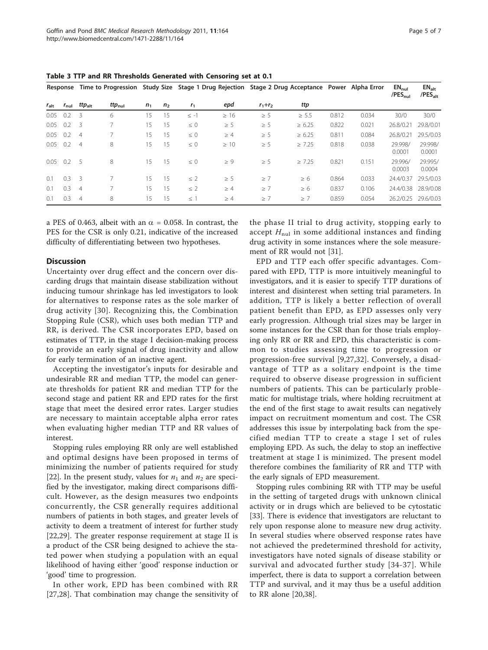| Response      |     |                                      |                     |         |                |                |           | Time to Progression Study Size Stage 1 Drug Rejection Stage 2 Drug Acceptance Power Alpha Error |             |       |       | $EN_{\text{null}}$<br>/PES <sub>nul</sub> | $EN_{\text{alt}}$<br>$/PES_{alt}$ |
|---------------|-----|--------------------------------------|---------------------|---------|----------------|----------------|-----------|-------------------------------------------------------------------------------------------------|-------------|-------|-------|-------------------------------------------|-----------------------------------|
| $r_{\rm alt}$ |     | $r_{\text{null}}$ ttp <sub>alt</sub> | $ttp_{\text{null}}$ | $n_{1}$ | n <sub>2</sub> | r <sub>1</sub> | epd       | $r_1 + r_2$                                                                                     | ttp         |       |       |                                           |                                   |
| 0.05          | 0.2 | -3                                   | 6                   | 15      | 15             | $\leq -1$      | $\geq 16$ | $\geq 5$                                                                                        | $\geq 5.5$  | 0.812 | 0.034 | 30/0                                      | 30/0                              |
| 0.05          | 0.2 | - 3                                  |                     | 15      | 15             | $\leq 0$       | $\geq 5$  | $\geq 5$                                                                                        | $\geq 6.25$ | 0.822 | 0.021 | 26.8/0.21                                 | 29.8/0.01                         |
| 0.05          | 0.2 | $\overline{4}$                       |                     | 15      | 15             | $\leq 0$       | $\geq 4$  | $\geq 5$                                                                                        | $\geq 6.25$ | 0.811 | 0.084 | 26.8/0.21                                 | 29.5/0.03                         |
| 0.05          | 0.2 | $\overline{4}$                       | 8                   | 15      | 15             | $\leq 0$       | $\geq 10$ | $\geq 5$                                                                                        | $\geq 7.25$ | 0.818 | 0.038 | 29.998/<br>0.0001                         | 29.998/<br>0.0001                 |
| 0.05          | 0.2 | - 5                                  | 8                   | 15      | 15             | $\leq 0$       | $\geq 9$  | $\geq 5$                                                                                        | $\geq 7.25$ | 0.821 | 0.151 | 29.996/<br>0.0003                         | 29.995/<br>0.0004                 |
| 0.1           | 0.3 | - 3                                  |                     | 15.     | - 15           | $\leq$ 2       | $\geq 5$  | $\geq$ 7                                                                                        | $\geq 6$    | 0.864 | 0.033 | 24.4/0.37                                 | 29.5/0.03                         |
| 0.1           | 0.3 | $\overline{4}$                       |                     | 15      | -15            | $\leq$ 2       | $\geq 4$  | $\geq$ 7                                                                                        | $\geq 6$    | 0.837 | 0.106 | 24.4/0.38                                 | 28.9/0.08                         |
| 0.1           | 0.3 | $\overline{4}$                       | 8                   | 15      | 15             | $\leq$ 1       | $\geq 4$  | $\geq$ 7                                                                                        | $\geq 7$    | 0.859 | 0.054 | 26.2/0.25                                 | 29.6/0.03                         |

<span id="page-4-0"></span>Table 3 TTP and RR Thresholds Generated with Censoring set at 0.1

a PES of 0.463, albeit with an  $\alpha$  = 0.058. In contrast, the PES for the CSR is only 0.21, indicative of the increased difficulty of differentiating between two hypotheses.

#### **Discussion**

Uncertainty over drug effect and the concern over discarding drugs that maintain disease stabilization without inducing tumour shrinkage has led investigators to look for alternatives to response rates as the sole marker of drug activity [[30](#page-6-0)]. Recognizing this, the Combination Stopping Rule (CSR), which uses both median TTP and RR, is derived. The CSR incorporates EPD, based on estimates of TTP, in the stage I decision-making process to provide an early signal of drug inactivity and allow for early termination of an inactive agent.

Accepting the investigator's inputs for desirable and undesirable RR and median TTP, the model can generate thresholds for patient RR and median TTP for the second stage and patient RR and EPD rates for the first stage that meet the desired error rates. Larger studies are necessary to maintain acceptable alpha error rates when evaluating higher median TTP and RR values of interest.

Stopping rules employing RR only are well established and optimal designs have been proposed in terms of minimizing the number of patients required for study [[22\]](#page-6-0). In the present study, values for  $n_1$  and  $n_2$  are specified by the investigator, making direct comparisons difficult. However, as the design measures two endpoints concurrently, the CSR generally requires additional numbers of patients in both stages, and greater levels of activity to deem a treatment of interest for further study [[22,29](#page-6-0)]. The greater response requirement at stage II is a product of the CSR being designed to achieve the stated power when studying a population with an equal likelihood of having either 'good' response induction or 'good' time to progression.

In other work, EPD has been combined with RR [[27,28\]](#page-6-0). That combination may change the sensitivity of

the phase II trial to drug activity, stopping early to accept  $H_{\text{null}}$  in some additional instances and finding drug activity in some instances where the sole measurement of RR would not [[31](#page-6-0)].

EPD and TTP each offer specific advantages. Compared with EPD, TTP is more intuitively meaningful to investigators, and it is easier to specify TTP durations of interest and disinterest when setting trial parameters. In addition, TTP is likely a better reflection of overall patient benefit than EPD, as EPD assesses only very early progression. Although trial sizes may be larger in some instances for the CSR than for those trials employing only RR or RR and EPD, this characteristic is common to studies assessing time to progression or progression-free survival [\[9](#page-5-0)[,27](#page-6-0),[32\]](#page-6-0). Conversely, a disadvantage of TTP as a solitary endpoint is the time required to observe disease progression in sufficient numbers of patients. This can be particularly problematic for multistage trials, where holding recruitment at the end of the first stage to await results can negatively impact on recruitment momentum and cost. The CSR addresses this issue by interpolating back from the specified median TTP to create a stage I set of rules employing EPD. As such, the delay to stop an ineffective treatment at stage I is minimized. The present model therefore combines the familiarity of RR and TTP with the early signals of EPD measurement.

Stopping rules combining RR with TTP may be useful in the setting of targeted drugs with unknown clinical activity or in drugs which are believed to be cytostatic [[33\]](#page-6-0). There is evidence that investigators are reluctant to rely upon response alone to measure new drug activity. In several studies where observed response rates have not achieved the predetermined threshold for activity, investigators have noted signals of disease stability or survival and advocated further study [[34-37](#page-6-0)]. While imperfect, there is data to support a correlation between TTP and survival, and it may thus be a useful addition to RR alone [[20](#page-6-0),[38](#page-6-0)].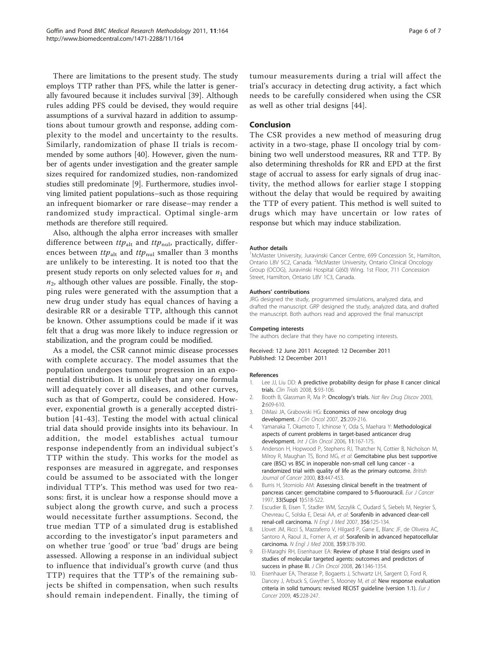<span id="page-5-0"></span>There are limitations to the present study. The study employs TTP rather than PFS, while the latter is generally favoured because it includes survival [\[39](#page-6-0)]. Although rules adding PFS could be devised, they would require assumptions of a survival hazard in addition to assumptions about tumour growth and response, adding complexity to the model and uncertainty to the results. Similarly, randomization of phase II trials is recommended by some authors [\[40\]](#page-6-0). However, given the number of agents under investigation and the greater sample sizes required for randomized studies, non-randomized studies still predominate [9]. Furthermore, studies involving limited patient populations–such as those requiring an infrequent biomarker or rare disease–may render a randomized study impractical. Optimal single-arm methods are therefore still required.

Also, although the alpha error increases with smaller difference between  $ttp_{alt}$  and  $ttp_{null}$ , practically, differences between  $ttp_{alt}$  and  $ttp_{null}$  smaller than 3 months are unlikely to be interesting. It is noted too that the present study reports on only selected values for  $n_1$  and  $n_2$ , although other values are possible. Finally, the stopping rules were generated with the assumption that a new drug under study has equal chances of having a desirable RR or a desirable TTP, although this cannot be known. Other assumptions could be made if it was felt that a drug was more likely to induce regression or stabilization, and the program could be modified.

As a model, the CSR cannot mimic disease processes with complete accuracy. The model assumes that the population undergoes tumour progression in an exponential distribution. It is unlikely that any one formula will adequately cover all diseases, and other curves, such as that of Gompertz, could be considered. However, exponential growth is a generally accepted distribution [[41](#page-6-0)-[43](#page-6-0)]. Testing the model with actual clinical trial data should provide insights into its behaviour. In addition, the model establishes actual tumour response independently from an individual subject's TTP within the study. This works for the model as responses are measured in aggregate, and responses could be assumed to be associated with the longer individual TTP's. This method was used for two reasons: first, it is unclear how a response should move a subject along the growth curve, and such a process would necessitate further assumptions. Second, the true median TTP of a simulated drug is established according to the investigator's input parameters and on whether true 'good' or true 'bad' drugs are being assessed. Allowing a response in an individual subject to influence that individual's growth curve (and thus TTP) requires that the TTP's of the remaining subjects be shifted in compensation, when such results should remain independent. Finally, the timing of tumour measurements during a trial will affect the trial's accuracy in detecting drug activity, a fact which needs to be carefully considered when using the CSR as well as other trial designs [\[44](#page-6-0)].

#### Conclusion

The CSR provides a new method of measuring drug activity in a two-stage, phase II oncology trial by combining two well understood measures, RR and TTP. By also determining thresholds for RR and EPD at the first stage of accrual to assess for early signals of drug inactivity, the method allows for earlier stage I stopping without the delay that would be required by awaiting the TTP of every patient. This method is well suited to drugs which may have uncertain or low rates of response but which may induce stabilization.

#### Author details

<sup>1</sup>McMaster University, Juravinski Cancer Centre, 699 Concession St., Hamilton Ontario L8V 5C2, Canada. <sup>2</sup>McMaster University, Ontario Clinical Oncology Group (OCOG), Juravinski Hospital G(60) Wing. 1st Floor, 711 Concession Street, Hamilton, Ontario L8V 1C3, Canada.

#### Authors' contributions

JRG designed the study, programmed simulations, analyzed data, and drafted the manuscript. GRP designed the study, analyzed data, and drafted the manuscript. Both authors read and approved the final manuscript

#### Competing interests

The authors declare that they have no competing interests.

#### Received: 12 June 2011 Accepted: 12 December 2011 Published: 12 December 2011

#### References

- Lee JJ, Liu DD: A predictive probability design for phase II cancer clinical trials. Clin Trials 2008, 5:93-106.
- 2. Booth B, Glassman R, Ma P: Oncology's trials. Nat Rev Drug Discov 2003, 2:609-610.
- 3. DiMasi JA, Grabowski HG: Economics of new oncology drug development. J Clin Oncol 2007, 25:209-216.
- 4. Yamanaka T, Okamoto T, Ichinose Y, Oda S, Maehara Y: Methodological aspects of current problems in target-based anticancer drug development. Int J Clin Oncol 2006, 11:167-175.
- 5. Anderson H, Hopwood P, Stephens RJ, Thatcher N, Cottier B, Nicholson M, Milroy R, Maughan TS, Bond MG, et al: Gemcitabine plus best supportive care (BSC) vs BSC in inoperable non-small cell lung cancer - a randomized trial with quality of life as the primary outcome. British Journal of Cancer 2000, 83:447-453.
- 6. Burris H, Storniolo AM: Assessing clinical benefit in the treatment of pancreas cancer: gemcitabine compared to 5-fluorouracil. Eur J Cancer 1997, 33(Suppl 1):S18-S22.
- 7. Escudier B, Eisen T, Stadler WM, Szczylik C, Oudard S, Siebels M, Negrier S, Chevreau C, Solska E, Desai AA, et al: Sorafenib in advanced clear-cell renal-cell carcinoma. N Engl J Med 2007, 356:125-134.
- 8. Llovet JM, Ricci S, Mazzaferro V, Hilgard P, Gane E, Blanc JF, de Oliveira AC, Santoro A, Raoul JL, Forner A, et al: Sorafenib in advanced hepatocellular carcinoma. N Engl J Med 2008, 359:378-390.
- 9. El-Maraghi RH, Eisenhauer EA: Review of phase II trial designs used in studies of molecular targeted agents: outcomes and predictors of success in phase III. J Clin Oncol 2008, 26:1346-1354.
- 10. Eisenhauer EA, Therasse P, Bogaerts J, Schwartz LH, Sargent D, Ford R, Dancey J, Arbuck S, Gwyther S, Mooney M, et al: New response evaluation criteria in solid tumours: revised RECIST guideline (version 1.1). Eur J Cancer 2009, 45:228-247.